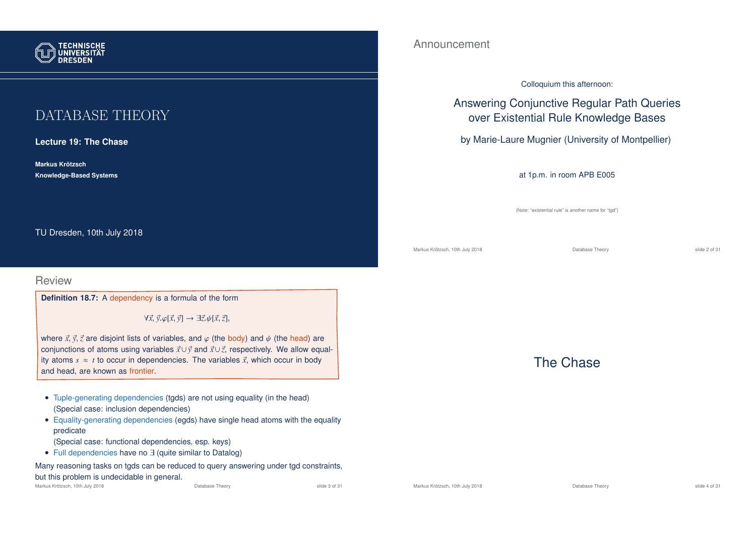

# DATABASE THEORY

**Lecture 19: The Chase**

**Markus Krotzsch ¨ Knowledge-Based Systems**

TU Dresden, 10th July 2018

#### Review

**Definition 18.7:** A dependency is a formula of the form

∀~*x*,~*y*.ϕ[~*x*,~*y*] → ∃~*z*.ψ[~*x*,~*z*],

where  $\vec{x}, \vec{y}, \vec{z}$  are disjoint lists of variables, and  $\varphi$  (the body) and  $\psi$  (the head) are conjunctions of atoms using variables ~*x*∪~*y* and ~*x*∪~*z*, respectively. We allow equality atoms  $s \approx t$  to occur in dependencies. The variables  $\vec{x}$ , which occur in body and head, are known as frontier.

- Tuple-generating dependencies (tgds) are not using equality (in the head) (Special case: inclusion dependencies)
- Equality-generating dependencies (egds) have single head atoms with the equality predicate
	- (Special case: functional dependencies, esp. keys)
- Full dependencies have no ∃ (quite similar to Datalog)

Many reasoning tasks on tgds can be reduced to query answering under tgd constraints, but this problem is undecidable in general.

#### Announcement

#### Colloquium this afternoon:

# Answering Conjunctive Regular Path Queries over Existential Rule Knowledge Bases

by Marie-Laure Mugnier (University of Montpellier)

#### at 1p.m. in room APB E005

(Note: "existential rule" is another name for "tgd")

Markus Krötzsch, 10th July 2018 Database Theory slide 2 of 31

## The Chase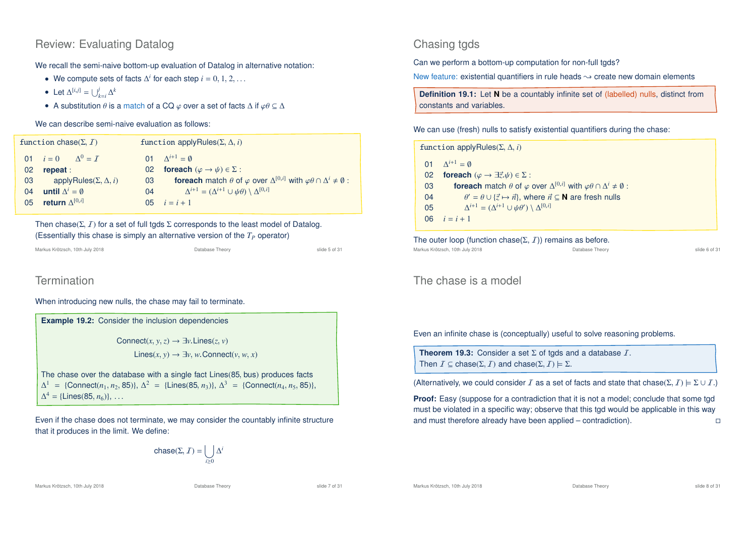### Review: Evaluating Datalog

We recall the semi-naive bottom-up evaluation of Datalog in alternative notation:

- We compute sets of facts  $\Delta^i$  for each step  $i = 0, 1, 2, \ldots$
- Let  $\Delta^{[i,j]} = \bigcup_{k=i}^j \Delta^k$
- A substitution  $\theta$  is a match of a CQ  $\varphi$  over a set of facts  $\Delta$  if  $\varphi\theta \subseteq \Delta$

#### We can describe semi-naive evaluation as follows:

| function chase $(\Sigma, I)$ |                                              | function applyRules( $\Sigma$ , $\Delta$ , <i>i</i> ) |                                                                                                                      |
|------------------------------|----------------------------------------------|-------------------------------------------------------|----------------------------------------------------------------------------------------------------------------------|
|                              | 01 $i = 0$ $\Lambda^0 = I$                   |                                                       | 01 $\Lambda^{i+1} = \emptyset$                                                                                       |
| 02                           | repeat:                                      |                                                       | 02 foreach $(\varphi \to \psi) \in \Sigma$ :                                                                         |
| 03                           | applyRules( $\Sigma$ , $\Delta$ , <i>i</i> ) | 03                                                    | <b>foreach</b> match $\theta$ of $\varphi$ over $\Delta^{[0,i]}$ with $\varphi\theta \cap \Delta^i \neq \emptyset$ : |
| 04                           | until $\Delta^i = \emptyset$                 | 04                                                    | $\Delta^{i+1} = (\Delta^{i+1} \cup \psi \theta) \setminus \Delta^{[0,i]}$                                            |
| 05                           | return $\Delta^{\left[0,i\right]}$           |                                                       | 05 $i = i + 1$                                                                                                       |

Then chase( $\Sigma$ ,  $I$ ) for a set of full tgds  $\Sigma$  corresponds to the least model of Datalog. (Essentially this chase is simply an alternative version of the *T<sup>P</sup>* operator)

Markus Krötzsch, 10th July 2018 Database Theory slide 5 of 31

# **Termination**

When introducing new nulls, the chase may fail to terminate.

| <b>Example 19.2:</b> Consider the inclusion dependencies                                                                                                                                                    |
|-------------------------------------------------------------------------------------------------------------------------------------------------------------------------------------------------------------|
| Connect $(x, y, z) \rightarrow \exists v$ . Lines $(z, v)$                                                                                                                                                  |
| Lines $(x, y) \rightarrow \exists y, w$ Connect $(y, w, x)$                                                                                                                                                 |
| The chase over the database with a single fact Lines (85, bus) produces facts                                                                                                                               |
| $\Delta^1$ = {Connect(n <sub>1</sub> , n <sub>2</sub> , 85)}, $\Delta^2$ = {Lines(85, n <sub>3</sub> )}, $\Delta^3$ = {Connect(n <sub>4</sub> , n <sub>5</sub> , 85)},<br>$\Delta^4$ = {Lines(85, $n_6$ }}, |
|                                                                                                                                                                                                             |

Even if the chase does not terminate, we may consider the countably infinite structure that it produces in the limit. We define:

$$
\text{chase}(\Sigma, \mathcal{I}) = \bigcup_{i \geq 0} \Delta^i
$$

#### Markus Krötzsch, 10th July 2018 **Database Theory** Database Theory **Slide 7 of 31** and 2018 19th Slide 7 of 31

### Chasing tgds

Can we perform a bottom-up computation for non-full tgds?

New feature: existential quantifiers in rule heads  $\sim$  create new domain elements

**Definition 19.1:** Let **N** be a countably infinite set of (labelled) nulls, distinct from constants and variables.

#### We can use (fresh) nulls to satisfy existential quantifiers during the chase:

| function applyRules( $\Sigma$ , $\Delta$ , <i>i</i> ) |                                                                                                                      |  |  |  |
|-------------------------------------------------------|----------------------------------------------------------------------------------------------------------------------|--|--|--|
|                                                       | 01 $\Delta^{i+1} = \emptyset$                                                                                        |  |  |  |
| 02                                                    | <b>foreach</b> $(\varphi \rightarrow \exists \vec{z}, \psi) \in \Sigma$ :                                            |  |  |  |
| 03                                                    | <b>foreach</b> match $\theta$ of $\varphi$ over $\Delta^{[0,i]}$ with $\varphi\theta \cap \Delta^i \neq \emptyset$ : |  |  |  |
| 04                                                    | $\theta' = \theta \cup \{\vec{z} \mapsto \vec{n}\}\$ , where $\vec{n} \subseteq \mathbb{N}$ are fresh nulls          |  |  |  |
| 05                                                    | $\Delta^{i+1} = (\Delta^{i+1} \cup \psi \theta') \setminus \Delta^{[0,i]}$                                           |  |  |  |
| 06                                                    | $i = i + 1$                                                                                                          |  |  |  |

The outer loop (function chase( $\Sigma$ ,  $I$ )) remains as before.<br>Markus Krötzsch, 10th July 2018 Markus Krötzsch, 10th July 2018 Database Theory slide 6 of 31

#### The chase is a model

Even an infinite chase is (conceptually) useful to solve reasoning problems.

**Theorem 19.3:** Consider a set Σ of tgds and a database I. Then  $I \subseteq \text{chase}(\Sigma, I)$  and  $\text{chase}(\Sigma, I) \models \Sigma$ .

(Alternatively, we could consider I as a set of facts and state that chase( $\Sigma$ ,  $I$ )  $\models \Sigma \cup I$ .)

**Proof:** Easy (suppose for a contradiction that it is not a model; conclude that some tgd must be violated in a specific way; observe that this tgd would be applicable in this way and must therefore already have been applied – contradiction).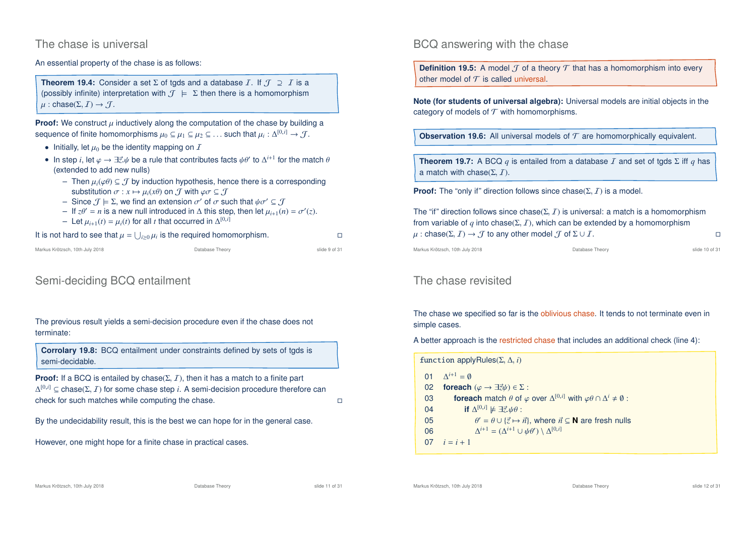#### The chase is universal

#### An essential property of the chase is as follows:

**Theorem 19.4:** Consider a set  $\Sigma$  of tgds and a database *I*. If  $\mathcal{J} \supseteq I$  is a (possibly infinite) interpretation with  $\mathcal{J} \models \Sigma$  then there is a homomorphism  $\mu$ : chase( $\Sigma$ ,  $I$ )  $\rightarrow$   $J$ .

**Proof:** We construct  $\mu$  inductively along the computation of the chase by building a sequence of finite homomorphisms  $\mu_0 \subseteq \mu_1 \subseteq \mu_2 \subseteq \ldots$  such that  $\mu_i : \Delta^{[0,i]} \to \mathcal{J}$ .

- Initially, let  $\mu_0$  be the identity mapping on  $\bar{I}$
- In step *i*, let  $\varphi \to \exists \vec{z}.\psi$  be a rule that contributes facts  $\psi \theta'$  to  $\Delta^{i+1}$  for the match  $\theta$ (extended to add new nulls)
	- Then  $\mu_i(\varphi) \subseteq \mathcal{J}$  by induction hypothesis, hence there is a corresponding substitution  $\sigma: x \mapsto \mu_i(x\theta)$  on  $\mathcal T$  with  $\varphi \sigma \subseteq \mathcal T$
	- $-$  Since  $\mathcal{J} \models \Sigma$ , we find an extension  $\sigma'$  of  $\sigma$  such that  $ψσ' ⊆ \mathcal{J}$
	- $-$  If *zθ'* = *n* is a new null introduced in ∆ this step, then let  $\mu_{i+1}(n) = \sigma'(z)$ .
	- $-$  Let  $\mu_{i+1}(t) = \mu_i(t)$  for all *t* that occurred in Δ<sup>[0,*i*]</sup>

#### It is not hard to see that  $\mu = \bigcup_{i \geq 0} \mu_i$  is the required homomorphism.

| Markus Krötzsch, 10th July 2018 | Database Theory | slide 9 of 31 |
|---------------------------------|-----------------|---------------|

### Semi-deciding BCQ entailment

The previous result yields a semi-decision procedure even if the chase does not terminate:

**Corrolary 19.8:** BCQ entailment under constraints defined by sets of tgds is semi-decidable.

**Proof:** If a BCQ is entailed by chase( $\Sigma$ ,  $I$ ), then it has a match to a finite part  $\Delta^{[0,i]}$  ⊆ chase( $\Sigma, \mathcal{I}$ ) for some chase step *i*. A semi-decision procedure therefore can check for such matches while computing the chase.

By the undecidability result, this is the best we can hope for in the general case.

However, one might hope for a finite chase in practical cases.

#### BCQ answering with the chase

**Definition 19.5:** A model  $\mathcal{T}$  of a theory  $\mathcal{T}$  that has a homomorphism into every other model of  $\mathcal T$  is called universal.

**Note (for students of universal algebra):** Universal models are initial objects in the category of models of  $T$  with homomorphisms.

**Observation 19.6:** All universal models of  $T$  are homomorphically equivalent.

**Theorem 19.7:** A BCQ *q* is entailed from a database *I* and set of tgds  $\Sigma$  iff *q* has a match with chase( $\Sigma$ ,  $I$ ).

**Proof:** The "only if" direction follows since chase( $\Sigma$ ,  $I$ ) is a model.

The "if" direction follows since chase( $\Sigma$ , I) is universal: a match is a homomorphism from variable of *q* into chase( $\Sigma$ , *I*), which can be extended by a homomorphism  $\mu$ : chase( $\Sigma$ ,  $I$ )  $\rightarrow$   $\mathcal{T}$  to any other model  $\mathcal{T}$  of  $\Sigma \cup I$ .

Markus Krötzsch, 10th July 2018 Database Theory slide 10 of 31

#### The chase revisited

The chase we specified so far is the oblivious chase. It tends to not terminate even in simple cases.

A better approach is the restricted chase that includes an additional check (line 4):

| function applyRules( $\Sigma$ , $\Delta$ , <i>i</i> ) |                                                                                                                      |  |  |  |
|-------------------------------------------------------|----------------------------------------------------------------------------------------------------------------------|--|--|--|
|                                                       | 01 $\Lambda^{i+1} = \emptyset$                                                                                       |  |  |  |
| 02                                                    | <b>foreach</b> $(\varphi \rightarrow \exists \vec{z} \psi) \in \Sigma$ :                                             |  |  |  |
| 03                                                    | <b>foreach</b> match $\theta$ of $\varphi$ over $\Delta^{[0,i]}$ with $\varphi\theta \cap \Delta^i \neq \emptyset$ : |  |  |  |
| 04                                                    | if $\Delta^{[0,i]} \not\models \exists \vec{z} \, \psi \theta$ :                                                     |  |  |  |
| 05                                                    | $\theta' = \theta \cup \{\vec{z} \mapsto \vec{n}\}\$ , where $\vec{n} \subseteq \mathbb{N}$ are fresh nulls          |  |  |  |
| 06                                                    | $\Delta^{i+1} = (\Delta^{i+1} \cup \psi \theta') \setminus \Delta^{[0,i]}$                                           |  |  |  |
| 07                                                    | $i=i+1$                                                                                                              |  |  |  |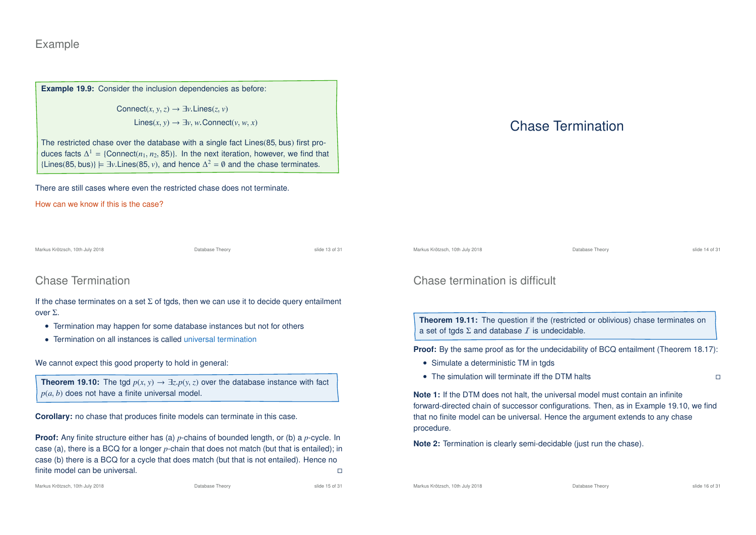### Example

**Example 19.9:** Consider the inclusion dependencies as before:

Connect $(x, y, z) \rightarrow \exists y$ . Lines $(z, y)$ Lines(*x*, *y*) → ∃*v*, *w*. Connect(*v*, *w*, *x*)

The restricted chase over the database with a single fact Lines(85, bus) first produces facts  $\Delta^1$  = {Connect( $n_1, n_2, 85$ )}. In the next iteration, however, we find that {Lines(85, bus)}  $\models \exists v$ .Lines(85, *v*), and hence  $\Delta^2 = \emptyset$  and the chase terminates.

There are still cases where even the restricted chase does not terminate.

How can we know if this is the case?

Markus Krötzsch, 10th July 2018 Database Theory slide 13 of 31

## Chase Termination

If the chase terminates on a set  $\Sigma$  of tgds, then we can use it to decide query entailment over Σ.

- Termination may happen for some database instances but not for others
- Termination on all instances is called universal termination

We cannot expect this good property to hold in general:

**Theorem 19.10:** The tgd  $p(x, y) \rightarrow \exists z \cdot p(y, z)$  over the database instance with fact  $p(a, b)$  does not have a finite universal model.

**Corollary:** no chase that produces finite models can terminate in this case.

**Proof:** Any finite structure either has (a) *p*-chains of bounded length, or (b) a *p*-cycle. In case (a), there is a BCQ for a longer *p*-chain that does not match (but that is entailed); in case (b) there is a BCQ for a cycle that does match (but that is not entailed). Hence no finite model can be universal.

#### Markus Krötzsch, 10th July 2018 Database Theory slide 15 of 31

# Chase Termination

| Markus Krötzsch. 10th July 2018 | Database Theory | slide 14 of 31 |
|---------------------------------|-----------------|----------------|
|---------------------------------|-----------------|----------------|

## Chase termination is difficult

**Theorem 19.11:** The question if the (restricted or oblivious) chase terminates on a set of tgds  $\Sigma$  and database  $I$  is undecidable.

**Proof:** By the same proof as for the undecidability of BCQ entailment (Theorem 18.17):

- Simulate a deterministic TM in tgds
- The simulation will terminate iff the DTM halts  $\Box$

**Note 1:** If the DTM does not halt, the universal model must contain an infinite forward-directed chain of successor configurations. Then, as in Example 19.10, we find that no finite model can be universal. Hence the argument extends to any chase procedure.

**Note 2:** Termination is clearly semi-decidable (just run the chase).

Markus Krötzsch, 10th July 2018 Database Theory slide 16 of 31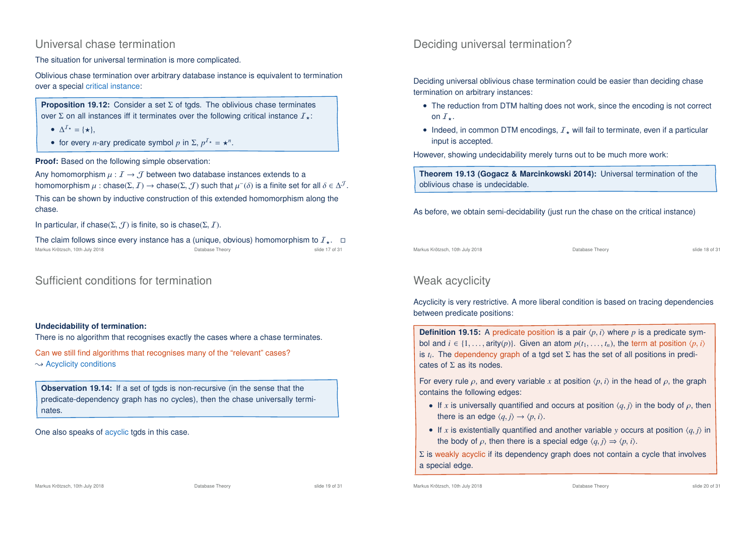#### Universal chase termination

The situation for universal termination is more complicated.

Oblivious chase termination over arbitrary database instance is equivalent to termination over a special critical instance:

**Proposition 19.12:** Consider a set Σ of tgds. The oblivious chase terminates over Σ on all instances iff it terminates over the following critical instance  $I_{+}$ :

- $\Delta^2 \star = {\star},$
- for every *n*-ary predicate symbol *p* in  $\Sigma$ ,  $p^{T*} = \star^n$ .

**Proof:** Based on the following simple observation:

Any homomorphism  $\mu : I \to J$  between two database instances extends to a homomorphism  $\mu$  : chase( $\Sigma, J$ )  $\to$  chase( $\Sigma, J$ ) such that  $\mu^-(\delta)$  is a finite set for all  $\delta \in \Delta^J$ .

This can be shown by inductive construction of this extended homomorphism along the chase.

In particular, if chase( $\Sigma$ ,  $\mathcal{T}$ ) is finite, so is chase( $\Sigma$ ,  $\mathcal{T}$ ).

The claim follows since every instance has a (unique, obvious) homomorphism to  $I_{\star}$ .  $\Box$ <br>Markus Krötzsch, 10th July 2018 Markus Krötzsch, 10th July 2018

### Sufficient conditions for termination

#### **Undecidability of termination:**

There is no algorithm that recognises exactly the cases where a chase terminates.

Can we still find algorithms that recognises many of the "relevant" cases?  $\rightsquigarrow$  Acyclicity conditions

**Observation 19.14:** If a set of tgds is non-recursive (in the sense that the predicate-dependency graph has no cycles), then the chase universally terminates.

One also speaks of acyclic tgds in this case.

## Deciding universal termination?

Deciding universal oblivious chase termination could be easier than deciding chase termination on arbitrary instances:

- The reduction from DTM halting does not work, since the encoding is not correct on  $I_{+}$ .
- Indeed, in common DTM encodings,  $I_{+}$  will fail to terminate, even if a particular input is accepted.

However, showing undecidability merely turns out to be much more work:

**Theorem 19.13 (Gogacz & Marcinkowski 2014):** Universal termination of the oblivious chase is undecidable.

As before, we obtain semi-decidability (just run the chase on the critical instance)

Markus Krötzsch, 10th July 2018 Database Theory slide 18 of 31

## Weak acyclicity

Acyclicity is very restrictive. A more liberal condition is based on tracing dependencies between predicate positions:

**Definition 19.15:** A predicate position is a pair  $\langle p, i \rangle$  where p is a predicate symbol and  $i \in \{1, \ldots, \text{arity}(p)\}\)$ . Given an atom  $p(t_1, \ldots, t_n)$ , the term at position  $\langle p, i \rangle$ is *t<sup>i</sup>* . The dependency graph of a tgd set Σ has the set of all positions in predicates of  $\Sigma$  as its nodes.

For every rule  $\rho$ , and every variable x at position  $\langle p, i \rangle$  in the head of  $\rho$ , the graph contains the following edges:

- If *x* is universally quantified and occurs at position  $\langle q, j \rangle$  in the body of  $\rho$ , then there is an edge  $\langle q, j \rangle \rightarrow \langle p, i \rangle$ .
- If *x* is existentially quantified and another variable *y* occurs at position  $\langle q, j \rangle$  in the body of  $\rho$ , then there is a special edge  $\langle q, j \rangle \Rightarrow \langle p, i \rangle$ .

 $\Sigma$  is weakly acyclic if its dependency graph does not contain a cycle that involves a special edge.

Markus Krötzsch, 10th July 2018 Database Theory slide 20 of 31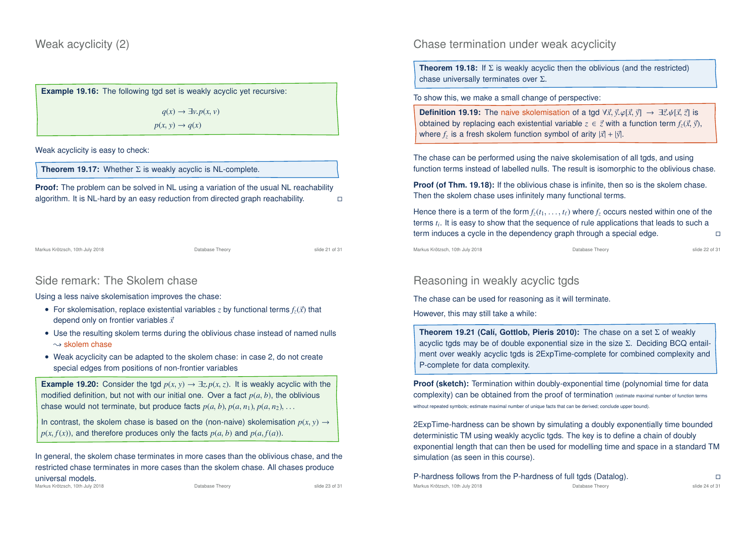**Example 19.16:** The following tgd set is weakly acyclic yet recursive:

 $q(x) \rightarrow \exists v.p(x, v)$  $p(x, y) \rightarrow q(x)$ 

Weak acyclicity is easy to check:

**Theorem 19.17:** Whether Σ is weakly acyclic is NL-complete.

**Proof:** The problem can be solved in NL using a variation of the usual NL reachability algorithm. It is NL-hard by an easy reduction from directed graph reachability.

Markus Krötzsch, 10th July 2018 Database Theory slide 21 of 31

### Side remark: The Skolem chase

Using a less naive skolemisation improves the chase:

- For skolemisation, replace existential variables *z* by functional terms  $f_z(\vec{x})$  that depend only on frontier variables  $\vec{x}$
- Use the resulting skolem terms during the oblivious chase instead of named nulls  $\rightsquigarrow$  skolem chase
- Weak acyclicity can be adapted to the skolem chase: in case 2, do not create special edges from positions of non-frontier variables

**Example 19.20:** Consider the tgd  $p(x, y) \rightarrow \exists z. p(x, z)$ . It is weakly acyclic with the modified definition, but not with our initial one. Over a fact  $p(a, b)$ , the oblivious chase would not terminate, but produce facts  $p(a, b)$ ,  $p(a, n_1)$ ,  $p(a, n_2)$ , ...

In contrast, the skolem chase is based on the (non-naive) skolemisation  $p(x, y) \rightarrow$  $p(x, f(x))$ , and therefore produces only the facts  $p(a, b)$  and  $p(a, f(a))$ .

In general, the skolem chase terminates in more cases than the oblivious chase, and the restricted chase terminates in more cases than the skolem chase. All chases produce

universal models.

Markus Krötzsch, 10th July 2018 **Database Theory** Database Theory **Slide 23 of 31** of 31

Chase termination under weak acyclicity

**Theorem 19.18:** If  $\Sigma$  is weakly acyclic then the oblivious (and the restricted) chase universally terminates over Σ.

To show this, we make a small change of perspective:

**Definition 19.19:** The naive skolemisation of a tgd  $\forall \vec{x}, \vec{y}, \varphi[\vec{x}, \vec{y}] \rightarrow \exists \vec{z}, \psi[\vec{x}, \vec{z}]$  is obtained by replacing each existential variable  $z \in \vec{z}$  with a function term  $f_z(\vec{x}, \vec{y})$ , where  $f_z$  is a fresh skolem function symbol of arity  $|\vec{x}| + |\vec{y}|$ .

The chase can be performed using the naive skolemisation of all tgds, and using function terms instead of labelled nulls. The result is isomorphic to the oblivious chase.

**Proof (of Thm. 19.18):** If the oblivious chase is infinite, then so is the skolem chase. Then the skolem chase uses infinitely many functional terms.

Hence there is a term of the form  $f_z(t_1, \ldots, t_\ell)$  where  $f_z$  occurs nested within one of the terms *t<sup>i</sup>* . It is easy to show that the sequence of rule applications that leads to such a term induces a cycle in the dependency graph through a special edge.

Markus Krötzsch, 10th July 2018 Database Theory slide 22 of 31

## Reasoning in weakly acyclic tgds

The chase can be used for reasoning as it will terminate.

However, this may still take a while:

**Theorem 19.21 (Calí, Gottlob, Pieris 2010):** The chase on a set Σ of weakly acyclic tgds may be of double exponential size in the size Σ. Deciding BCQ entailment over weakly acyclic tgds is 2ExpTime-complete for combined complexity and P-complete for data complexity.

**Proof (sketch):** Termination within doubly-exponential time (polynomial time for data complexity) can be obtained from the proof of termination (estimate maximal number of function terms without repeated symbols; estimate maximal number of unique facts that can be derived; conclude upper bound).

2ExpTime-hardness can be shown by simulating a doubly exponentially time bounded deterministic TM using weakly acyclic tgds. The key is to define a chain of doubly exponential length that can then be used for modelling time and space in a standard TM simulation (as seen in this course).

P-hardness follows from the P-hardness of full tgds (Datalog). Markus Krötzsch, 10th July 2018 Database Theory slide 24 of 31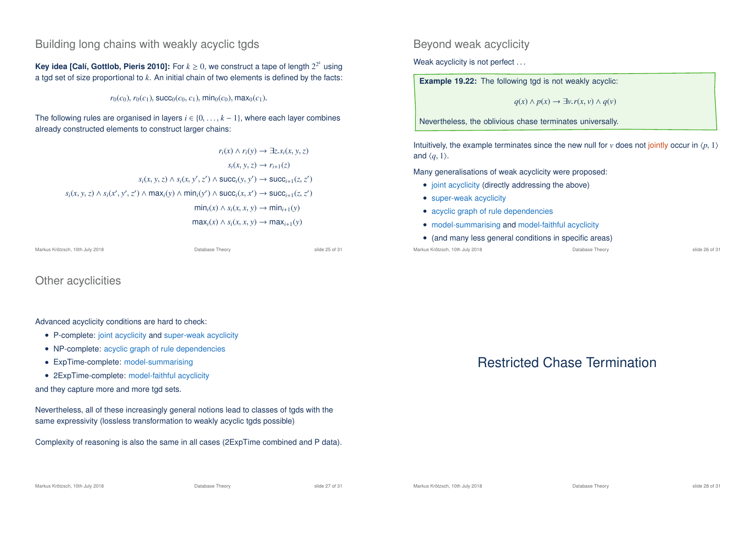#### Building long chains with weakly acyclic tgds

**Key idea [Calí, Gottlob, Pieris 2010]:** For  $k \ge 0$ , we construct a tape of length  $2^{2^k}$  using a tgd set of size proportional to *k*. An initial chain of two elements is defined by the facts:

 $r_0(c_0)$ ,  $r_0(c_1)$ , succ<sub>0</sub>( $c_0$ ,  $c_1$ ), min<sub>0</sub>( $c_0$ ), max<sub>0</sub>( $c_1$ ).

The following rules are organised in layers *i* ∈ {0, . . . , *k* − 1}, where each layer combines already constructed elements to construct larger chains:

 $r_i(x) \land r_i(y) \rightarrow \exists z \cdot s_i(x, y, z)$  $s_i(x, y, z) \rightarrow r_{i+1}(z)$  $s_i(x, y, z) \land s_i(x, y', z') \land \text{succ}_i(y, y') \rightarrow \text{succ}_{i+1}(z, z')$  $s_i(x, y, z) \wedge s_i(x', y', z') \wedge \max_i(y) \wedge \min_i(y') \wedge \text{succ}_i(x, x') \rightarrow \text{succ}_{i+1}(z, z')$  $\min_i(x) \land s_i(x, x, y) \rightarrow \min_{i+1}(y)$  $max_i(x) \land s_i(x, x, y) \rightarrow max_{i+1}(y)$ 

Markus Krötzsch, 10th July 2018 Database Theory slide 25 of 31

Other acyclicities

Advanced acyclicity conditions are hard to check:

- P-complete: joint acyclicity and super-weak acyclicity
- NP-complete: acyclic graph of rule dependencies
- ExpTime-complete: model-summarising
- 2ExpTime-complete: model-faithful acyclicity

and they capture more and more tgd sets.

Nevertheless, all of these increasingly general notions lead to classes of tgds with the same expressivity (lossless transformation to weakly acyclic tgds possible)

Complexity of reasoning is also the same in all cases (2ExpTime combined and P data).

Beyond weak acyclicity

Weak acyclicity is not perfect ...

**Example 19.22:** The following tgd is not weakly acyclic:

*q*(*x*) ∧ *p*(*x*) → ∃*v*.*r*(*x*, *v*) ∧ *q*(*v*)

Nevertheless, the oblivious chase terminates universally.

Intuitively, the example terminates since the new null for  $v$  does not jointly occur in  $\langle p, 1 \rangle$ and  $\langle q, 1 \rangle$ .

Many generalisations of weak acyclicity were proposed:

- joint acyclicity (directly addressing the above)
- super-weak acyclicity
- acyclic graph of rule dependencies
- model-summarising and model-faithful acyclicity
- (and many less general conditions in specific areas)

Markus Krötzsch, 10th July 2018 Database Theory slide 26 of 31

# Restricted Chase Termination

Markus Krötzsch, 10th July 2018 **Database Theory** Database Theory **Slide 27 of 31** of 31